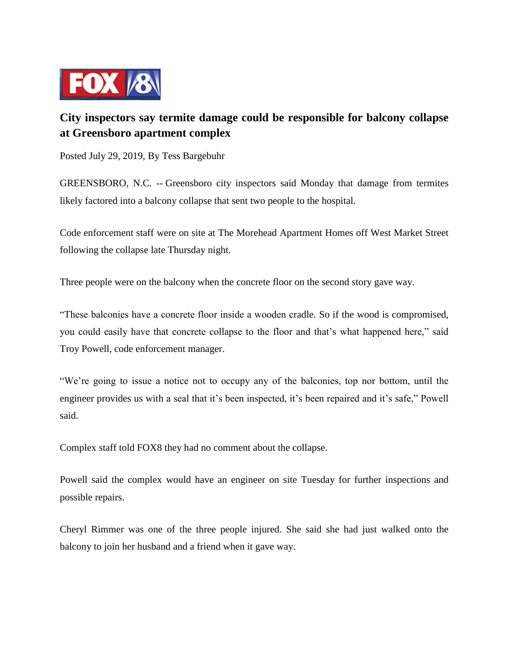

## **City inspectors say termite damage could be responsible for balcony collapse at Greensboro apartment complex**

Posted July 29, 2019, By Tess Bargebuhr

GREENSBORO, N.C. -- Greensboro city inspectors said Monday that damage from termites likely factored into a balcony collapse that sent two people to the hospital.

Code enforcement staff were on site at The Morehead Apartment Homes off West Market Street following the collapse late Thursday night.

Three people were on the balcony when the concrete floor on the second story gave way.

"These balconies have a concrete floor inside a wooden cradle. So if the wood is compromised, you could easily have that concrete collapse to the floor and that's what happened here," said Troy Powell, code enforcement manager.

"We're going to issue a notice not to occupy any of the balconies, top nor bottom, until the engineer provides us with a seal that it's been inspected, it's been repaired and it's safe," Powell said.

Complex staff told FOX8 they had no comment about the collapse.

Powell said the complex would have an engineer on site Tuesday for further inspections and possible repairs.

Cheryl Rimmer was one of the three people injured. She said she had just walked onto the balcony to join her husband and a friend when it gave way.